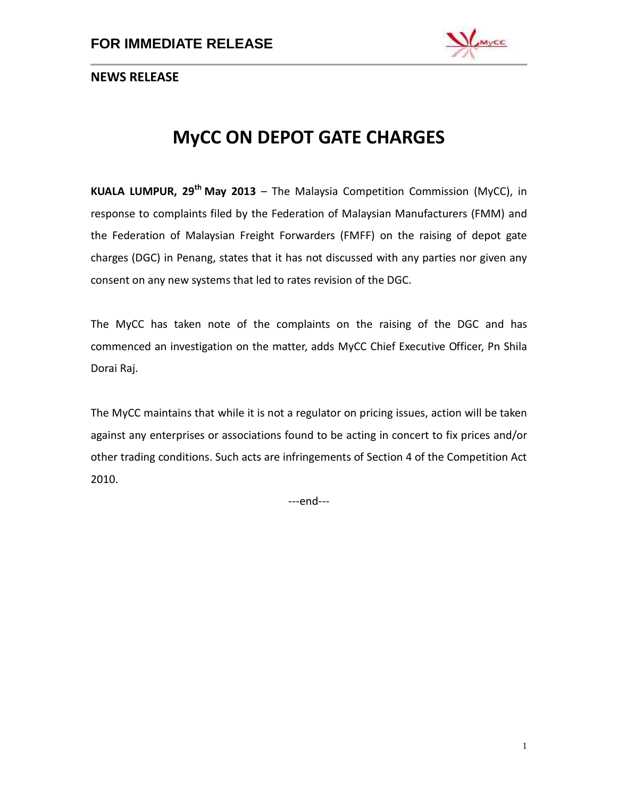

**NEWS RELEASE**

# **MyCC ON DEPOT GATE CHARGES**

**KUALA LUMPUR, 29 th May 2013** – The Malaysia Competition Commission (MyCC), in response to complaints filed by the Federation of Malaysian Manufacturers (FMM) and the Federation of Malaysian Freight Forwarders (FMFF) on the raising of depot gate charges (DGC) in Penang, states that it has not discussed with any parties nor given any consent on any new systems that led to rates revision of the DGC.

The MyCC has taken note of the complaints on the raising of the DGC and has commenced an investigation on the matter, adds MyCC Chief Executive Officer, Pn Shila Dorai Raj.

The MyCC maintains that while it is not a regulator on pricing issues, action will be taken against any enterprises or associations found to be acting in concert to fix prices and/or other trading conditions. Such acts are infringements of Section 4 of the Competition Act 2010.

---end---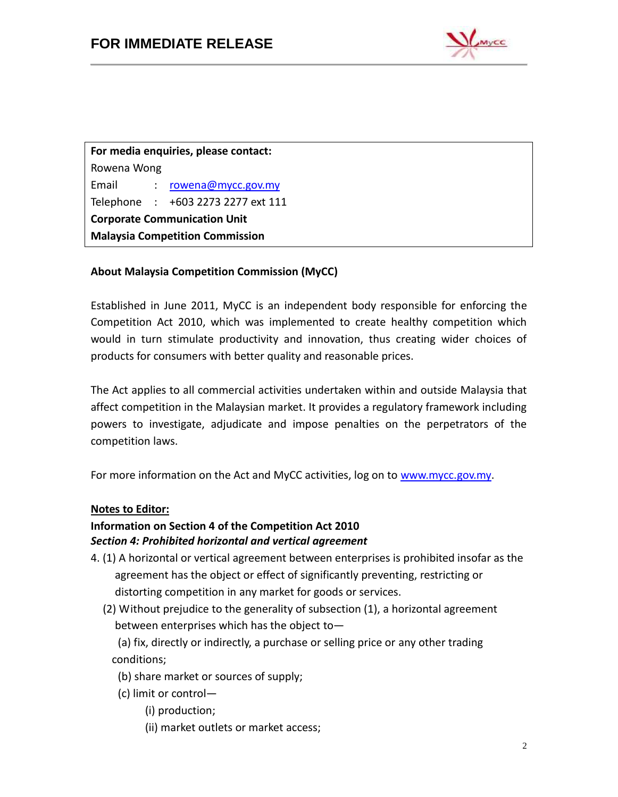

**For media enquiries, please contact:** Rowena Wong Email : [rowena@mycc.gov.my](mailto:rowena@mycc.gov.my) Telephone : +603 2273 2277 ext 111 **Corporate Communication Unit Malaysia Competition Commission**

### **About Malaysia Competition Commission (MyCC)**

Established in June 2011, MyCC is an independent body responsible for enforcing the Competition Act 2010, which was implemented to create healthy competition which would in turn stimulate productivity and innovation, thus creating wider choices of products for consumers with better quality and reasonable prices.

The Act applies to all commercial activities undertaken within and outside Malaysia that affect competition in the Malaysian market. It provides a regulatory framework including powers to investigate, adjudicate and impose penalties on the perpetrators of the competition laws.

For more information on the Act and MyCC activities, log on to [www.mycc.gov.my.](http://www.mycc.gov.my/)

#### **Notes to Editor:**

#### **Information on Section 4 of the Competition Act 2010** *Section 4: Prohibited horizontal and vertical agreement*

- 4. (1) A horizontal or vertical agreement between enterprises is prohibited insofar as the agreement has the object or effect of significantly preventing, restricting or distorting competition in any market for goods or services.
	- (2) Without prejudice to the generality of subsection (1), a horizontal agreement between enterprises which has the object to—
		- (a) fix, directly or indirectly, a purchase or selling price or any other trading conditions;
		- (b) share market or sources of supply;
		- (c) limit or control—
			- (i) production;
				- (ii) market outlets or market access;